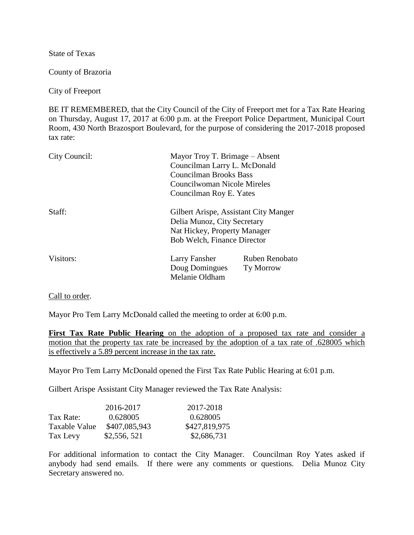State of Texas

County of Brazoria

City of Freeport

BE IT REMEMBERED, that the City Council of the City of Freeport met for a Tax Rate Hearing on Thursday, August 17, 2017 at 6:00 p.m. at the Freeport Police Department, Municipal Court Room, 430 North Brazosport Boulevard, for the purpose of considering the 2017-2018 proposed tax rate:

| City Council: | Mayor Troy T. Brimage – Absent<br>Councilman Larry L. McDonald<br><b>Councilman Brooks Bass</b><br>Councilwoman Nicole Mireles<br>Councilman Roy E. Yates |                                    |
|---------------|-----------------------------------------------------------------------------------------------------------------------------------------------------------|------------------------------------|
| Staff:        | Gilbert Arispe, Assistant City Manger<br>Delia Munoz, City Secretary<br>Nat Hickey, Property Manager<br><b>Bob Welch, Finance Director</b>                |                                    |
| Visitors:     | Larry Fansher<br>Doug Domingues<br>Melanie Oldham                                                                                                         | Ruben Renobato<br><b>Ty Morrow</b> |

Call to order.

Mayor Pro Tem Larry McDonald called the meeting to order at 6:00 p.m.

**First Tax Rate Public Hearing** on the adoption of a proposed tax rate and consider a motion that the property tax rate be increased by the adoption of a tax rate of .628005 which is effectively a 5.89 percent increase in the tax rate.

Mayor Pro Tem Larry McDonald opened the First Tax Rate Public Hearing at 6:01 p.m.

Gilbert Arispe Assistant City Manager reviewed the Tax Rate Analysis:

|               | 2016-2017     | 2017-2018     |
|---------------|---------------|---------------|
| Tax Rate:     | 0.628005      | 0.628005      |
| Taxable Value | \$407,085,943 | \$427,819,975 |
| Tax Levy      | \$2,556,521   | \$2,686,731   |

For additional information to contact the City Manager. Councilman Roy Yates asked if anybody had send emails. If there were any comments or questions. Delia Munoz City Secretary answered no.